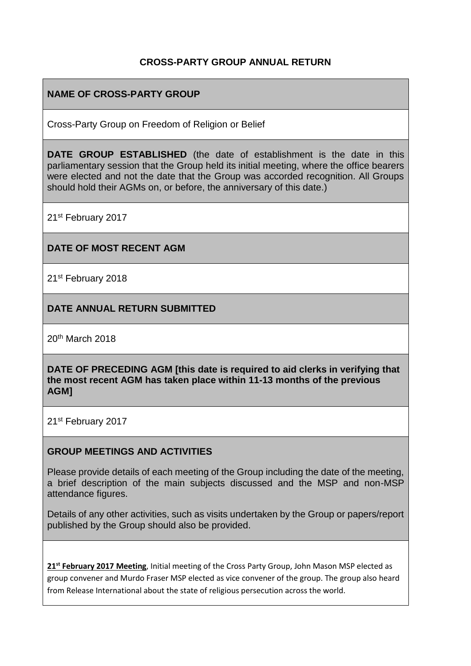## **CROSS-PARTY GROUP ANNUAL RETURN**

## **NAME OF CROSS-PARTY GROUP**

Cross-Party Group on Freedom of Religion or Belief

**DATE GROUP ESTABLISHED** (the date of establishment is the date in this parliamentary session that the Group held its initial meeting, where the office bearers were elected and not the date that the Group was accorded recognition. All Groups should hold their AGMs on, or before, the anniversary of this date.)

21st February 2017

## **DATE OF MOST RECENT AGM**

21<sup>st</sup> February 2018

## **DATE ANNUAL RETURN SUBMITTED**

20th March 2018

**DATE OF PRECEDING AGM [this date is required to aid clerks in verifying that the most recent AGM has taken place within 11-13 months of the previous AGM]**

21st February 2017

#### **GROUP MEETINGS AND ACTIVITIES**

Please provide details of each meeting of the Group including the date of the meeting, a brief description of the main subjects discussed and the MSP and non-MSP attendance figures.

Details of any other activities, such as visits undertaken by the Group or papers/report published by the Group should also be provided.

**21st February 2017 Meeting**, Initial meeting of the Cross Party Group, John Mason MSP elected as group convener and Murdo Fraser MSP elected as vice convener of the group. The group also heard from Release International about the state of religious persecution across the world.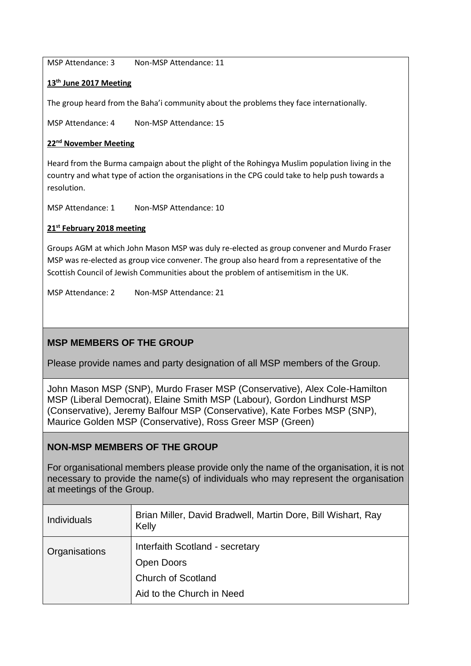MSP Attendance: 3 Non-MSP Attendance: 11

#### **13th June 2017 Meeting**

The group heard from the Baha'i community about the problems they face internationally.

MSP Attendance: 4 Non-MSP Attendance: 15

#### **22nd November Meeting**

Heard from the Burma campaign about the plight of the Rohingya Muslim population living in the country and what type of action the organisations in the CPG could take to help push towards a resolution.

MSP Attendance: 1 Non-MSP Attendance: 10

#### **21st February 2018 meeting**

Groups AGM at which John Mason MSP was duly re-elected as group convener and Murdo Fraser MSP was re-elected as group vice convener. The group also heard from a representative of the Scottish Council of Jewish Communities about the problem of antisemitism in the UK.

MSP Attendance: 2 Non-MSP Attendance: 21

## **MSP MEMBERS OF THE GROUP**

Please provide names and party designation of all MSP members of the Group.

John Mason MSP (SNP), Murdo Fraser MSP (Conservative), Alex Cole-Hamilton MSP (Liberal Democrat), Elaine Smith MSP (Labour), Gordon Lindhurst MSP (Conservative), Jeremy Balfour MSP (Conservative), Kate Forbes MSP (SNP), Maurice Golden MSP (Conservative), Ross Greer MSP (Green)

## **NON-MSP MEMBERS OF THE GROUP**

For organisational members please provide only the name of the organisation, it is not necessary to provide the name(s) of individuals who may represent the organisation at meetings of the Group.

| <b>Individuals</b> | Brian Miller, David Bradwell, Martin Dore, Bill Wishart, Ray<br>Kelly |
|--------------------|-----------------------------------------------------------------------|
| Organisations      | Interfaith Scotland - secretary<br>Open Doors                         |
|                    | <b>Church of Scotland</b>                                             |
|                    | Aid to the Church in Need                                             |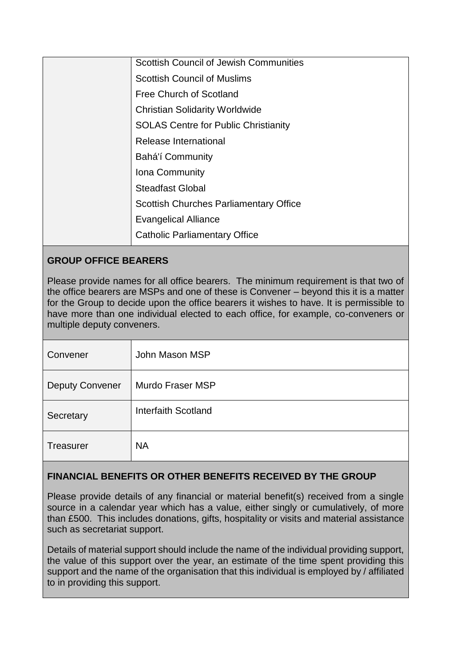| <b>Scottish Council of Jewish Communities</b> |
|-----------------------------------------------|
| <b>Scottish Council of Muslims</b>            |
| Free Church of Scotland                       |
| <b>Christian Solidarity Worldwide</b>         |
| <b>SOLAS Centre for Public Christianity</b>   |
| Release International                         |
| Bahá'í Community                              |
| Iona Community                                |
| <b>Steadfast Global</b>                       |
| <b>Scottish Churches Parliamentary Office</b> |
| <b>Evangelical Alliance</b>                   |
| <b>Catholic Parliamentary Office</b>          |

# **GROUP OFFICE BEARERS**

Please provide names for all office bearers. The minimum requirement is that two of the office bearers are MSPs and one of these is Convener – beyond this it is a matter for the Group to decide upon the office bearers it wishes to have. It is permissible to have more than one individual elected to each office, for example, co-conveners or multiple deputy conveners.

| Convener               | John Mason MSP          |
|------------------------|-------------------------|
| <b>Deputy Convener</b> | <b>Murdo Fraser MSP</b> |
| Secretary              | Interfaith Scotland     |
| <b>Treasurer</b>       | <b>NA</b>               |

# **FINANCIAL BENEFITS OR OTHER BENEFITS RECEIVED BY THE GROUP**

Please provide details of any financial or material benefit(s) received from a single source in a calendar year which has a value, either singly or cumulatively, of more than £500. This includes donations, gifts, hospitality or visits and material assistance such as secretariat support.

Details of material support should include the name of the individual providing support, the value of this support over the year, an estimate of the time spent providing this support and the name of the organisation that this individual is employed by / affiliated to in providing this support.